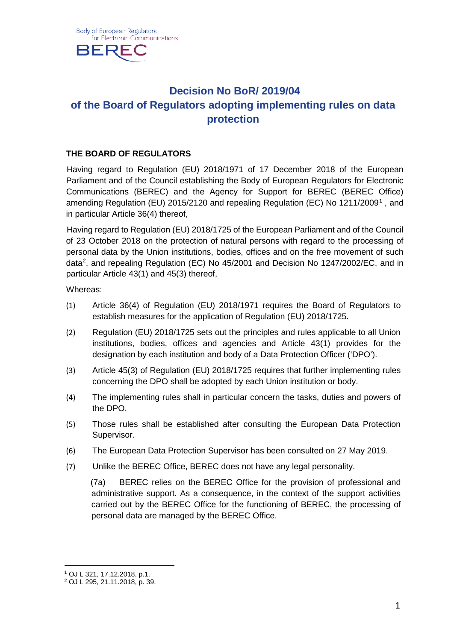

# **Decision No BoR/ 2019/04 of the Board of Regulators adopting implementing rules on data protection**

## **THE BOARD OF REGULATORS**

Having regard to Regulation (EU) 2018/1971 of 17 December 2018 of the European Parliament and of the Council establishing the Body of European Regulators for Electronic Communications (BEREC) and the Agency for Support for BEREC (BEREC Office) amending Regulation (EU) 20[1](#page-0-0)5/2120 and repealing Regulation (EC) No 1211/2009<sup>1</sup>, and in particular Article 36(4) thereof,

Having regard to Regulation (EU) 2018/1725 of the European Parliament and of the Council of 23 October 2018 on the protection of natural persons with regard to the processing of personal data by the Union institutions, bodies, offices and on the free movement of such data<sup>[2](#page-0-1)</sup>, and repealing Regulation (EC) No 45/2001 and Decision No 1247/2002/EC, and in particular Article 43(1) and 45(3) thereof,

Whereas:

- (1) Article 36(4) of Regulation (EU) 2018/1971 requires the Board of Regulators to establish measures for the application of Regulation (EU) 2018/1725.
- (2) Regulation (EU) 2018/1725 sets out the principles and rules applicable to all Union institutions, bodies, offices and agencies and Article 43(1) provides for the designation by each institution and body of a Data Protection Officer ('DPO').
- (3) Article 45(3) of Regulation (EU) 2018/1725 requires that further implementing rules concerning the DPO shall be adopted by each Union institution or body.
- (4) The implementing rules shall in particular concern the tasks, duties and powers of the DPO.
- (5) Those rules shall be established after consulting the European Data Protection Supervisor.
- (6) The European Data Protection Supervisor has been consulted on 27 May 2019.
- (7) Unlike the BEREC Office, BEREC does not have any legal personality.

(7a) BEREC relies on the BEREC Office for the provision of professional and administrative support. As a consequence, in the context of the support activities carried out by the BEREC Office for the functioning of BEREC, the processing of personal data are managed by the BEREC Office.

<span id="page-0-0"></span><sup>1</sup> OJ L 321, 17.12.2018, p.1.

<span id="page-0-1"></span><sup>2</sup> OJ L 295, 21.11.2018, p. 39.